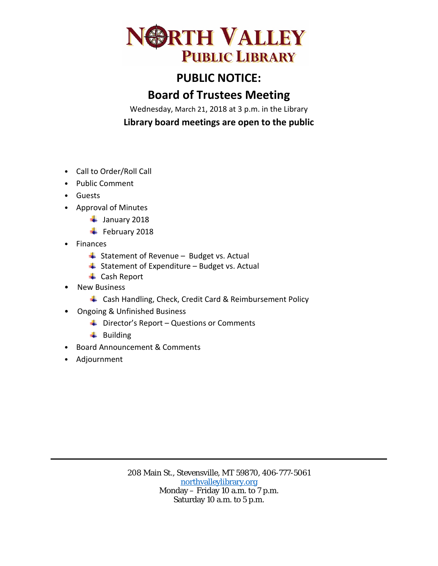

## **PUBLIC NOTICE:**

## **Board of Trustees Meeting**

Wednesday, March 21, 2018 at 3 p.m. in the Library **Library board meetings are open to the public**

- Call to Order/Roll Call
- Public Comment
- Guests
- Approval of Minutes
	- $\frac{1}{2}$  January 2018
	- $\overline{\phantom{a}}$  February 2018
- **Finances** 
	- $\triangleq$  Statement of Revenue Budget vs. Actual
	- $\overline{\phantom{a}}$  Statement of Expenditure Budget vs. Actual
	- **↓** Cash Report
- New Business
	- 4 Cash Handling, Check, Credit Card & Reimbursement Policy
- Ongoing & Unfinished Business
	- $\bigstar$  Director's Report Questions or Comments
	- $\ddot{\bullet}$  Building
- Board Announcement & Comments
- Adjournment